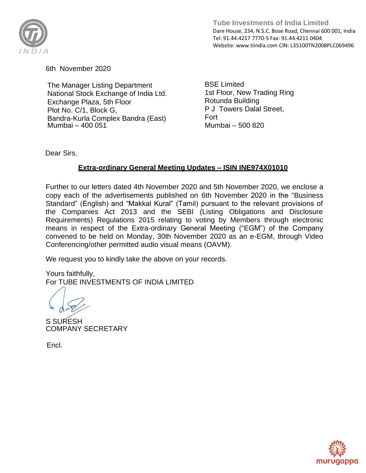

6th November 2020

The Manager Listing Department National Stock Exchange of India Ltd. Exchange Plaza, 5th Floor Plot No. C/1, Block G, Bandra-Kurla Complex Bandra (East) Mumbai – 400 051

BSE Limited 1st Floor, New Trading Ring Rotunda Building P J Towers Dalal Street, Fort Mumbai – 500 820

Dear Sirs,

## **Extra-ordinary General Meeting Updates – ISIN INE974X01010**

Further to our letters dated 4th November 2020 and 5th November 2020, we enclose a copy each of the advertisements published on 6th November 2020 in the "Business Standard" (English) and "Makkal Kural" (Tamil) pursuant to the relevant provisions of the Companies Act 2013 and the SEBI (Listing Obligations and Disclosure Requirements) Regulations 2015 relating to voting by Members through electronic means in respect of the Extra-ordinary General Meeting ("EGM") of the Company convened to be held on Monday, 30th November 2020 as an e-EGM, through Video Conferencing/other permitted audio visual means (OAVM).

We request you to kindly take the above on your records.

Yours faithfully, For TUBE INVESTMENTS OF INDIA LIMITED

S SURESH COMPANY SECRETARY

Encl.

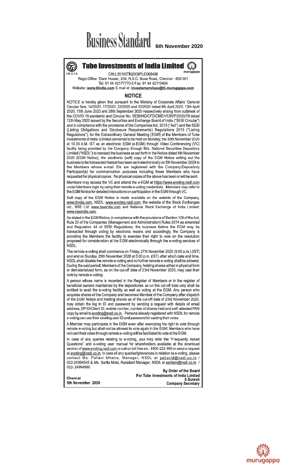## **Business Standard** 6th November 2020



**Tube Investments of India Limited** CIN:L35100TN2008PLC069496

Regd.Office: 'Dare House', 234, N.S.C. Bose Road, Chennai - 600 001 Tel: 91 44 42177770-5 Fax: 91 44 42110404

Website: www.tiindia.com E-mail id: investorservices@tii.murugappa.com

## **NOTICE**

NOTICE is hereby given that pursuant to the Ministry of Corporate Affairs' General Circular Nos. 14/2020, 17/2020, 22/2020 and 33/2020 dated 8th April 2020, 13th April 2020, 15th June 2020 and 28th September 2020 respectively arising from outbreak of the COVID-19 pandemic and Circular No. SEBI/HO/CFD/CMD1/CIR/P/2020/79 dated 12th May 2020 issued by the Securities and Exchange Board of India ("SEBI Circular") and in compliance with the provisions of the Companies Act, 2013 ("Act") and the SEBI (Listing Obligations and Disclosure Requirements) Regulations 2015 ("Listing Regulations"), for the Extraordinary General Meeting (EGM) of the Members of Tube Investments of India Limited convened to be held on Monday, the 30th November 2020 at 10.30 A.M. IST as an electronic EGM (e-EGM) through Video Conferencing (VC) facility being provided by the Company through M/s. National Securities Depository Limited ("NSDL") to transact the business as set forth in the Notice dated 4th November 2020 (EGM Notice), the electronic (soft) copy of the EGM Notice setting out the business to be transacted thereat has been sent electronically on 5th November 2020 to the Members whose e-mail IDs are registered with the Company/Depository Participant(s) for communication purposes including those Members who have requested for physical copies. No physical copies of the above has been or will be sent.

Members may access the VC and attend the e-EGM at https://www.evoting.nsdl.com under Members login by using their remote e-voting credentials. Members may refer to the EGM Notice for detailed instructions on participation in the EGM through VC.

Soft copy of the EGM Notice is made available on the website of the Company, www.tiindia.com, NSDL: www.evoting.nsdl.com, the website of the Stock Exchanges viz., BSE Ltd: www.bseindia.com and National Stock Exchange of India Limited: www.nseindia.com.

As stated in the EGM Notice, in compliance with the provisions of Section 108 of the Act, Rule 20 of the Companies (Management and Administration) Rules 2014 as amended and Regulation 44 of SEBI Regulations, the business before the EGM may be transacted through voting by electronic means and accordingly, the Company is providing the Members the facility to exercise their right to vote on the resolution proposed for consideration at the EGM electronically through the e-voting services of NSDL.

The remote e-voting shall commence on Friday, 27th November 2020 (9.00 a.m.) (IST) and end on Sunday, 29th November 2020 at 5:00 p.m. (IST) after which date and time, NSDL shall disable the remote e-voting and no further remote e-voting shall be allowed. During the said period, Members of the Company, holding shares either in physical form or dematerialized form, as on the cut-off date of 23rd November 2020, may cast their vote by remote e-voting.

A person whose name is recorded in the Register of Members or in the register of beneficial owners maintained by the depositories as on the cut-off date only shall be entitled to avail the e-voting facility as well as voting at the EGM. Any person who acquires shares of the Company and becomes Member of the Company after dispatch of the EGM Notice and holding shares as of the cut-off date of 23rd November 2020, may obtain the log in ID and password by sending a request with details of email address, DP ID/Client ID, mobile number, number of shares held and self-attested PAN copy by email to evoting@nsdl.co.in. Persons already registered with NSDL for remote e-voting can use their existing user ID and password for casting their votes.

A Member may participate in the EGM even after exercising his right to vote through remote e-voting but shall not be allowed to vote again in the EGM. Members who have not cast their votes through remote e-voting will be facilitated to vote at the EGM.

In case of any queries relating to e-voting, you may refer the "Frequently Asked Questions" and e-voting user manual for shareholders available at the download section of www.evoting.nsdl.com or call on toll free no.: 1800-222-990 or send a request at evoting@nsdl.co.in. In case of any queries/grievances in relation to e-voting, please contact Ms. Pallavi Mhatre, Manager, NSDL at pallavid@nsdl.co.in / 022-24994545 & Ms. Sarita Mote, Assistant Manager, NSDL at saritam@nsdl.co.in 022-24994890.

By Order of the Board For Tube Investments of India Limited S Suresh **Company Secretary**